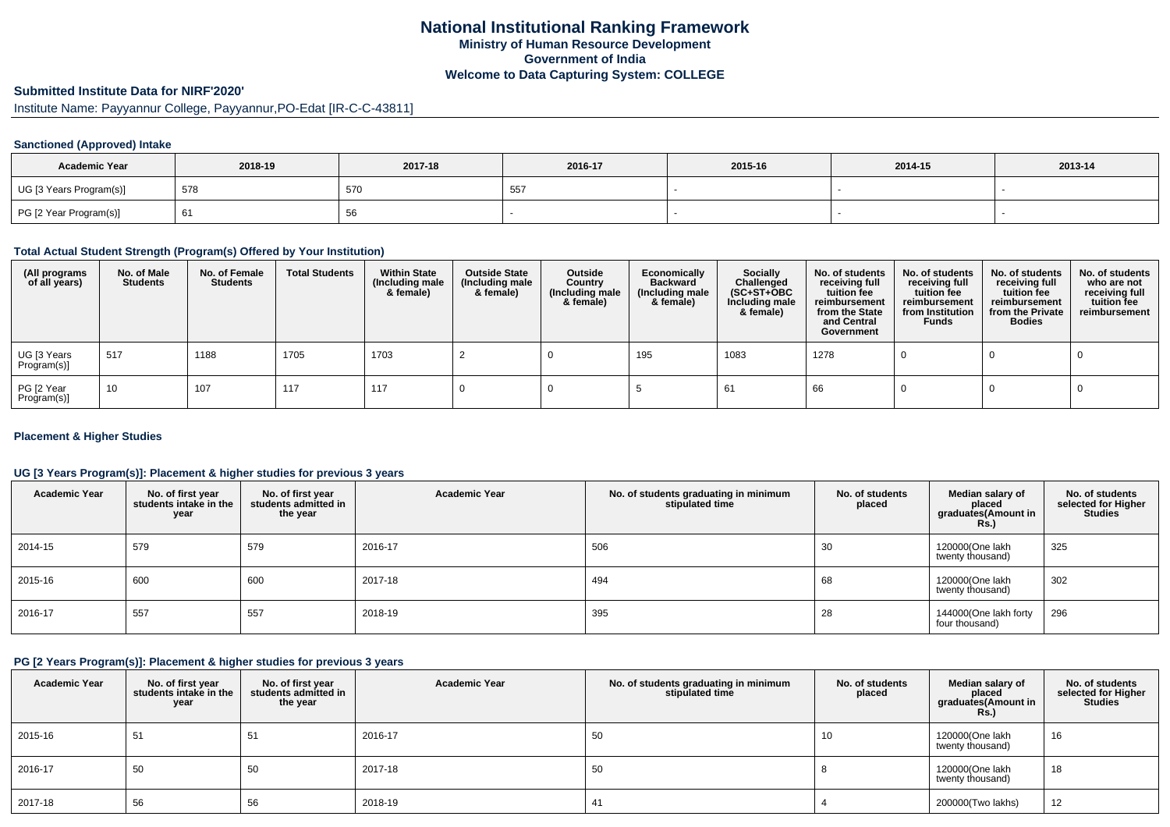## **Submitted Institute Data for NIRF'2020'**

Institute Name: Payyannur College, Payyannur,PO-Edat [IR-C-C-43811]

### **Sanctioned (Approved) Intake**

| <b>Academic Year</b>    | 2018-19 | 2017-18 | 2016-17      | 2015-16 | 2014-15 | 2013-14 |
|-------------------------|---------|---------|--------------|---------|---------|---------|
| UG [3 Years Program(s)] | 578     | 570     | $- -$<br>ັບປ |         |         |         |
| PG [2 Year Program(s)]  | O I     | oc      |              |         |         |         |

### **Total Actual Student Strength (Program(s) Offered by Your Institution)**

| (All programs<br>of all years) | No. of Male<br><b>Students</b> | No. of Female<br>Students | <b>Total Students</b> | <b>Within State</b><br>(Including male<br>& female) | <b>Outside State</b><br>(Including male<br>& female) | Outside<br>Country<br>(Including male<br>& female) | Economically<br><b>Backward</b><br>(Including male<br>& female) | <b>Socially</b><br>Challenged<br>$(SC+ST+OBC)$<br>Including male<br>& female) | No. of students<br>receiving full<br>tuition fee<br>reimbursement<br>from the State<br>and Central<br>Government | No. of students<br>receiving full<br>tuition fee<br>reimbursement<br>from Institution<br><b>Funds</b> | No. of students<br>receiving full<br>tuition fee<br>reimbursement<br>from the Private<br><b>Bodies</b> | No. of students<br>who are not<br>receiving full<br>tuition fee<br>reimbursement |
|--------------------------------|--------------------------------|---------------------------|-----------------------|-----------------------------------------------------|------------------------------------------------------|----------------------------------------------------|-----------------------------------------------------------------|-------------------------------------------------------------------------------|------------------------------------------------------------------------------------------------------------------|-------------------------------------------------------------------------------------------------------|--------------------------------------------------------------------------------------------------------|----------------------------------------------------------------------------------|
| UG [3 Years<br>Program(s)]     | 517                            | 1188                      | 1705                  | 1703                                                |                                                      |                                                    | 195                                                             | 1083                                                                          | 1278                                                                                                             |                                                                                                       |                                                                                                        |                                                                                  |
| PG [2 Year<br>Program(s)]      | 10                             | 107                       | 117                   | 117                                                 |                                                      |                                                    |                                                                 | 61                                                                            | 66                                                                                                               |                                                                                                       |                                                                                                        |                                                                                  |

### **Placement & Higher Studies**

### **UG [3 Years Program(s)]: Placement & higher studies for previous 3 years**

| <b>Academic Year</b> | No. of first year<br>students intake in the<br>year | No. of first year<br>students admitted in<br>the year | <b>Academic Year</b> | No. of students graduating in minimum<br>stipulated time | No. of students<br>placed | Median salary of<br>placed<br>graduates(Amount in<br><b>Rs.)</b> | No. of students<br>selected for Higher<br><b>Studies</b> |
|----------------------|-----------------------------------------------------|-------------------------------------------------------|----------------------|----------------------------------------------------------|---------------------------|------------------------------------------------------------------|----------------------------------------------------------|
| 2014-15              | 579                                                 | 579                                                   | 2016-17              | 506                                                      | 30                        | 120000(One lakh<br>twenty thousand)                              | 325                                                      |
| 2015-16              | 600                                                 | 600                                                   | 2017-18              | 494                                                      | 68                        | 120000(One lakh<br>twenty thousand)                              | 302                                                      |
| 2016-17              | 557                                                 | 557                                                   | 2018-19              | 395                                                      | 28                        | 144000(One lakh forty<br>four thousand)                          | 296                                                      |

### **PG [2 Years Program(s)]: Placement & higher studies for previous 3 years**

| <b>Academic Year</b> | No. of first year<br>students intake in the<br>year | No. of first year<br>students admitted in<br>the year | <b>Academic Year</b> | No. of students graduating in minimum<br>stipulated time | No. of students<br>placed | Median salary of<br>placed<br>graduates(Amount in<br>Rs. | No. of students<br>selected for Higher<br><b>Studies</b> |
|----------------------|-----------------------------------------------------|-------------------------------------------------------|----------------------|----------------------------------------------------------|---------------------------|----------------------------------------------------------|----------------------------------------------------------|
| 2015-16              | 51                                                  | 51                                                    | 2016-17              | 50                                                       | 10                        | 120000(One lakh<br>twenty thousand)                      | 16                                                       |
| 2016-17              | 50                                                  | 50                                                    | 2017-18              | 50                                                       |                           | 120000(One lakh<br>twenty thousand)                      | 18                                                       |
| 2017-18              | 56                                                  | 56                                                    | 2018-19              | 41                                                       |                           | 200000(Two lakhs)                                        | 12                                                       |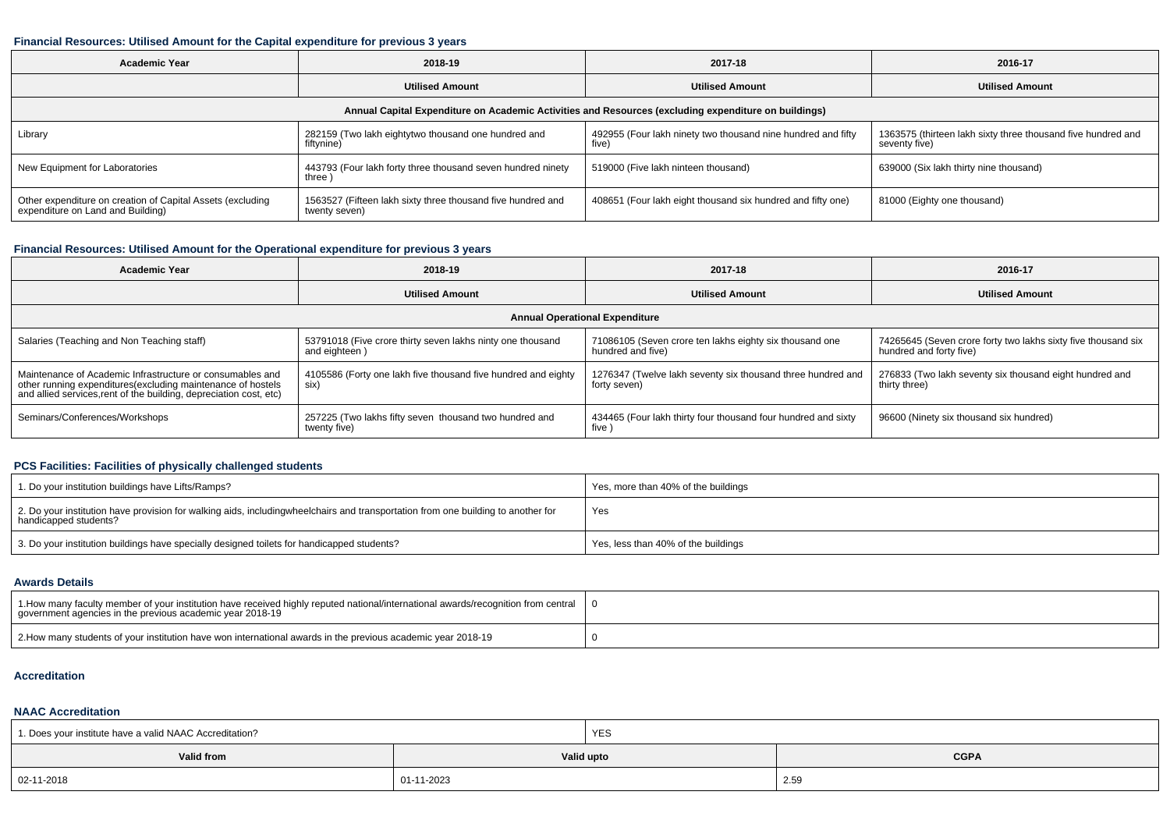## **Financial Resources: Utilised Amount for the Capital expenditure for previous 3 years**

| <b>Academic Year</b>                                                                                 | 2018-19                                                                      | 2017-18                                                               | 2016-17                                                                       |  |  |  |  |  |  |  |  |
|------------------------------------------------------------------------------------------------------|------------------------------------------------------------------------------|-----------------------------------------------------------------------|-------------------------------------------------------------------------------|--|--|--|--|--|--|--|--|
|                                                                                                      | <b>Utilised Amount</b>                                                       | <b>Utilised Amount</b>                                                | <b>Utilised Amount</b>                                                        |  |  |  |  |  |  |  |  |
| Annual Capital Expenditure on Academic Activities and Resources (excluding expenditure on buildings) |                                                                              |                                                                       |                                                                               |  |  |  |  |  |  |  |  |
| Library                                                                                              | 282159 (Two lakh eightytwo thousand one hundred and<br>fiftynine)            | 492955 (Four lakh ninety two thousand nine hundred and fifty<br>five) | 1363575 (thirteen lakh sixty three thousand five hundred and<br>seventy five) |  |  |  |  |  |  |  |  |
| New Equipment for Laboratories                                                                       | 443793 (Four lakh forty three thousand seven hundred ninety<br>three )       | 519000 (Five lakh ninteen thousand)                                   | 639000 (Six lakh thirty nine thousand)                                        |  |  |  |  |  |  |  |  |
| Other expenditure on creation of Capital Assets (excluding<br>expenditure on Land and Building)      | 1563527 (Fifteen lakh sixty three thousand five hundred and<br>twenty seven) | 408651 (Four lakh eight thousand six hundred and fifty one)           | 81000 (Eighty one thousand)                                                   |  |  |  |  |  |  |  |  |

## **Financial Resources: Utilised Amount for the Operational expenditure for previous 3 years**

| <b>Academic Year</b>                                                                                                                                                                           | 2018-19                                                                     | 2017-18                                                                      | 2016-17                                                                                  |  |  |  |  |  |  |  |
|------------------------------------------------------------------------------------------------------------------------------------------------------------------------------------------------|-----------------------------------------------------------------------------|------------------------------------------------------------------------------|------------------------------------------------------------------------------------------|--|--|--|--|--|--|--|
|                                                                                                                                                                                                | <b>Utilised Amount</b>                                                      | <b>Utilised Amount</b>                                                       | <b>Utilised Amount</b>                                                                   |  |  |  |  |  |  |  |
| <b>Annual Operational Expenditure</b>                                                                                                                                                          |                                                                             |                                                                              |                                                                                          |  |  |  |  |  |  |  |
| Salaries (Teaching and Non Teaching staff)                                                                                                                                                     | 53791018 (Five crore thirty seven lakhs ninty one thousand<br>and eighteen) | 71086105 (Seven crore ten lakhs eighty six thousand one<br>hundred and five) | 74265645 (Seven crore forty two lakhs sixty five thousand six<br>hundred and forty five) |  |  |  |  |  |  |  |
| Maintenance of Academic Infrastructure or consumables and<br>other running expenditures(excluding maintenance of hostels<br>and allied services, rent of the building, depreciation cost, etc) | 4105586 (Forty one lakh five thousand five hundred and eighty<br>six)       | 1276347 (Twelve lakh seventy six thousand three hundred and<br>forty seven)  | 276833 (Two lakh seventy six thousand eight hundred and<br>thirty three)                 |  |  |  |  |  |  |  |
| Seminars/Conferences/Workshops                                                                                                                                                                 | 257225 (Two lakhs fifty seven thousand two hundred and<br>twenty five)      | 434465 (Four lakh thirty four thousand four hundred and sixty<br>five )      | 96600 (Ninety six thousand six hundred)                                                  |  |  |  |  |  |  |  |

### **PCS Facilities: Facilities of physically challenged students**

| 1. Do your institution buildings have Lifts/Ramps?                                                                                                        | Yes, more than 40% of the buildings |
|-----------------------------------------------------------------------------------------------------------------------------------------------------------|-------------------------------------|
| 2. Do your institution have provision for walking aids, includingwheelchairs and transportation from one building to another for<br>handicapped students? | Yes                                 |
| 3. Do your institution buildings have specially designed toilets for handicapped students?                                                                | Yes, less than 40% of the buildings |

### **Awards Details**

| 1.How many faculty member of your institution have received highly reputed national/international awards/recognition from central  <br>government agencies in the previous academic year 2018-19 |  |
|--------------------------------------------------------------------------------------------------------------------------------------------------------------------------------------------------|--|
| 2. How many students of your institution have won international awards in the previous academic year 2018-19                                                                                     |  |

### **Accreditation**

# **NAAC Accreditation**

| 1. Does your institute have a valid NAAC Accreditation? |            | <b>YES</b> |             |  |  |
|---------------------------------------------------------|------------|------------|-------------|--|--|
| Valid from                                              |            | Valid upto | <b>CGPA</b> |  |  |
| $  02 - 11 - 2018$                                      | 01-11-2023 |            | 2.59        |  |  |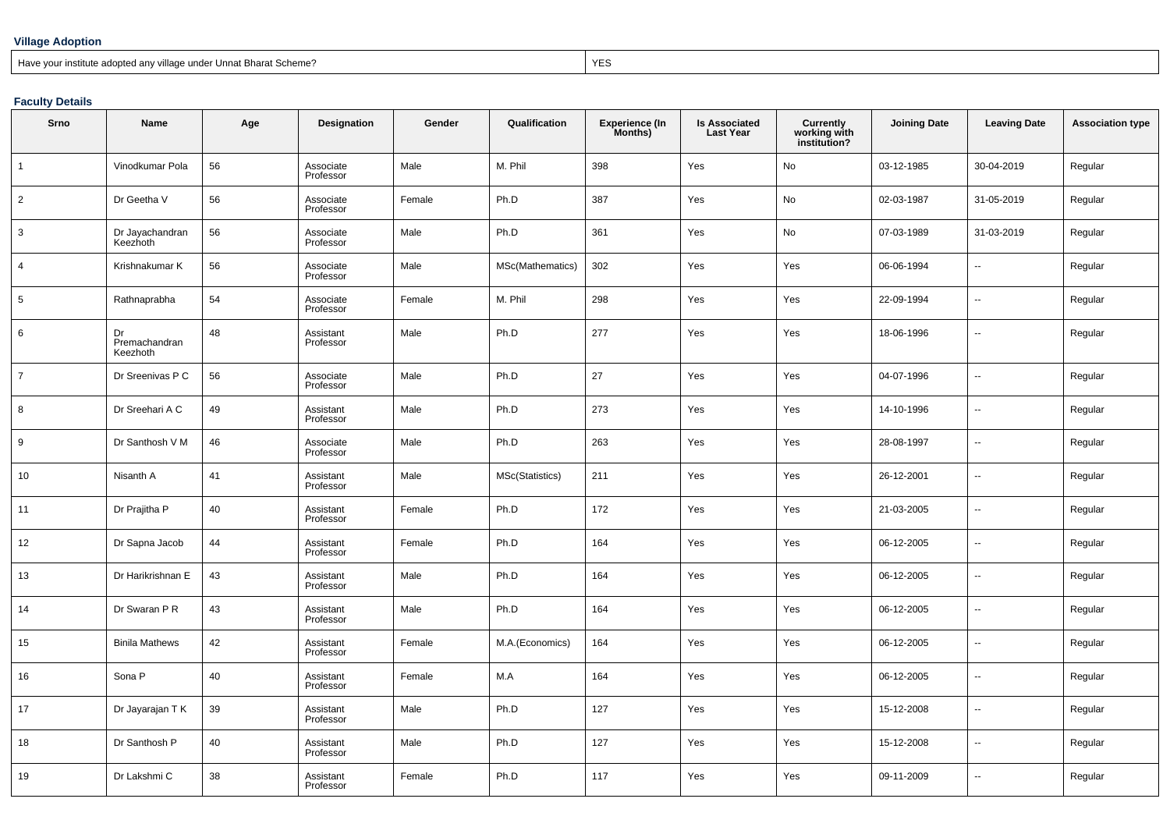### **Village Adoption**

Have your institute adopted any village under Unnat Bharat Scheme?

extending the contract of the contract of the contract of the contract of the contract of the contract of the contract of the contract of the contract of the contract of the contract of the contract of the contract of the

### **Faculty Details**

| Srno           | <b>Name</b>                     | Age | Designation            | Gender | Qualification    | <b>Experience (In</b><br>Months) | <b>Is Associated</b><br><b>Last Year</b> | <b>Currently</b><br>working with<br>institution? | <b>Joining Date</b> | <b>Leaving Date</b>      | <b>Association type</b> |
|----------------|---------------------------------|-----|------------------------|--------|------------------|----------------------------------|------------------------------------------|--------------------------------------------------|---------------------|--------------------------|-------------------------|
| $\mathbf{1}$   | Vinodkumar Pola                 | 56  | Associate<br>Professor | Male   | M. Phil          | 398                              | Yes                                      | No                                               | 03-12-1985          | 30-04-2019               | Regular                 |
| $\overline{2}$ | Dr Geetha V                     | 56  | Associate<br>Professor | Female | Ph.D             | 387                              | Yes                                      | No                                               | 02-03-1987          | 31-05-2019               | Regular                 |
| 3              | Dr Jayachandran<br>Keezhoth     | 56  | Associate<br>Professor | Male   | Ph.D             | 361                              | Yes                                      | No                                               | 07-03-1989          | 31-03-2019               | Regular                 |
| $\overline{4}$ | Krishnakumar K                  | 56  | Associate<br>Professor | Male   | MSc(Mathematics) | 302                              | Yes                                      | Yes                                              | 06-06-1994          | $\overline{\phantom{a}}$ | Regular                 |
| 5              | Rathnaprabha                    | 54  | Associate<br>Professor | Female | M. Phil          | 298                              | Yes                                      | Yes                                              | 22-09-1994          | $\overline{\phantom{a}}$ | Regular                 |
| 6              | Dr<br>Premachandran<br>Keezhoth | 48  | Assistant<br>Professor | Male   | Ph.D             | 277                              | Yes                                      | Yes                                              | 18-06-1996          | Ξ.                       | Regular                 |
| $\overline{7}$ | Dr Sreenivas P C                | 56  | Associate<br>Professor | Male   | Ph.D             | 27                               | Yes                                      | Yes                                              | 04-07-1996          | $\overline{a}$           | Regular                 |
| 8              | Dr Sreehari A C                 | 49  | Assistant<br>Professor | Male   | Ph.D             | 273                              | Yes                                      | Yes                                              | 14-10-1996          | ÷,                       | Regular                 |
| 9              | Dr Santhosh V M                 | 46  | Associate<br>Professor | Male   | Ph.D             | 263                              | Yes                                      | Yes                                              | 28-08-1997          | --                       | Regular                 |
| 10             | Nisanth A                       | 41  | Assistant<br>Professor | Male   | MSc(Statistics)  | 211                              | Yes                                      | Yes                                              | 26-12-2001          | Ξ.                       | Regular                 |
| 11             | Dr Prajitha P                   | 40  | Assistant<br>Professor | Female | Ph.D             | 172                              | Yes                                      | Yes                                              | 21-03-2005          | ÷.                       | Regular                 |
| 12             | Dr Sapna Jacob                  | 44  | Assistant<br>Professor | Female | Ph.D             | 164                              | Yes                                      | Yes                                              | 06-12-2005          | Ξ.                       | Regular                 |
| 13             | Dr Harikrishnan E               | 43  | Assistant<br>Professor | Male   | Ph.D             | 164                              | Yes                                      | Yes                                              | 06-12-2005          | L.                       | Regular                 |
| 14             | Dr Swaran P R                   | 43  | Assistant<br>Professor | Male   | Ph.D             | 164                              | Yes                                      | Yes                                              | 06-12-2005          | --                       | Regular                 |
| 15             | <b>Binila Mathews</b>           | 42  | Assistant<br>Professor | Female | M.A.(Economics)  | 164                              | Yes                                      | Yes                                              | 06-12-2005          | ÷.                       | Regular                 |
| 16             | Sona P                          | 40  | Assistant<br>Professor | Female | M.A              | 164                              | Yes                                      | Yes                                              | 06-12-2005          | Ξ.                       | Regular                 |
| 17             | Dr Jayarajan T K                | 39  | Assistant<br>Professor | Male   | Ph.D             | 127                              | Yes                                      | Yes                                              | 15-12-2008          | ÷,                       | Regular                 |
| 18             | Dr Santhosh P                   | 40  | Assistant<br>Professor | Male   | Ph.D             | 127                              | Yes                                      | Yes                                              | 15-12-2008          | --                       | Regular                 |
| 19             | Dr Lakshmi C                    | 38  | Assistant<br>Professor | Female | Ph.D             | 117                              | Yes                                      | Yes                                              | 09-11-2009          | --                       | Regular                 |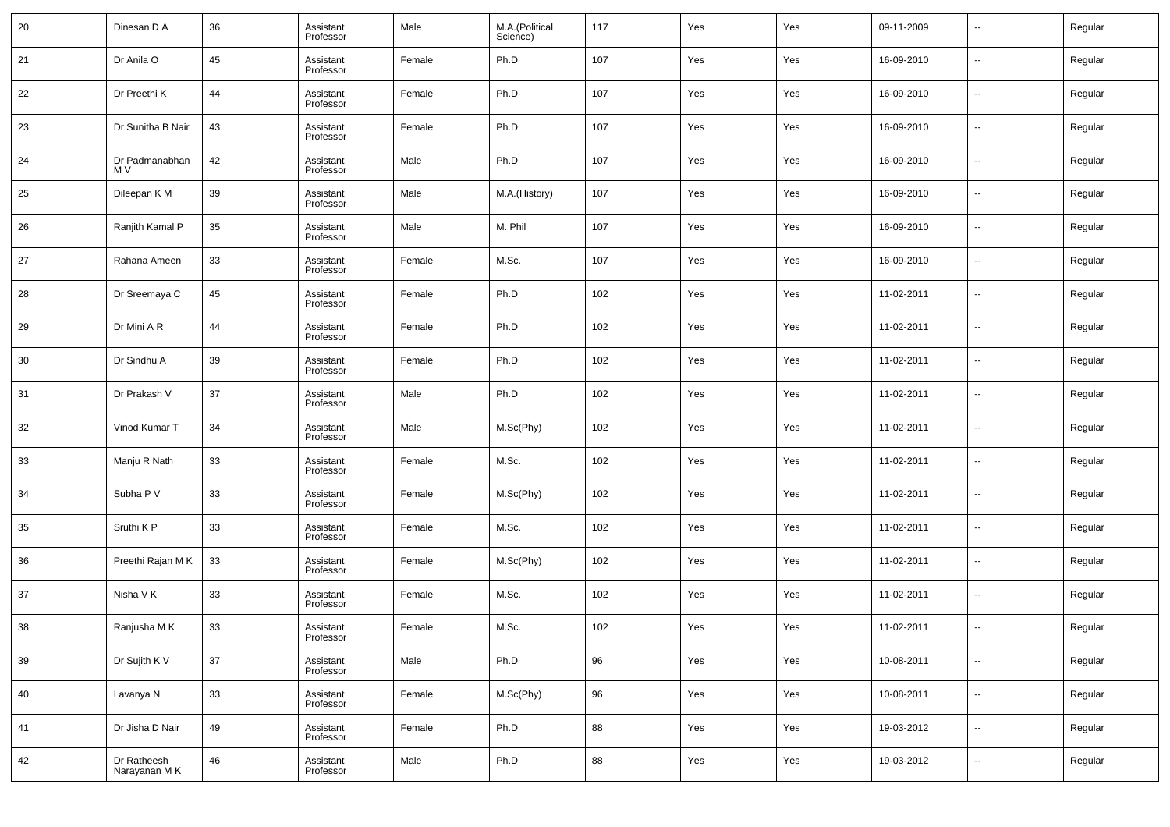| 20 | Dinesan D A                  | 36     | Assistant<br>Professor | Male   | M.A.(Political<br>Science) | 117 | Yes | Yes | 09-11-2009 | $\overline{\phantom{a}}$ | Regular |
|----|------------------------------|--------|------------------------|--------|----------------------------|-----|-----|-----|------------|--------------------------|---------|
| 21 | Dr Anila O                   | 45     | Assistant<br>Professor | Female | Ph.D                       | 107 | Yes | Yes | 16-09-2010 | $\overline{\phantom{a}}$ | Regular |
| 22 | Dr Preethi K                 | 44     | Assistant<br>Professor | Female | Ph.D                       | 107 | Yes | Yes | 16-09-2010 | $\overline{\phantom{a}}$ | Regular |
| 23 | Dr Sunitha B Nair            | 43     | Assistant<br>Professor | Female | Ph.D                       | 107 | Yes | Yes | 16-09-2010 | $\overline{\phantom{a}}$ | Regular |
| 24 | Dr Padmanabhan<br>M V        | 42     | Assistant<br>Professor | Male   | Ph.D                       | 107 | Yes | Yes | 16-09-2010 | $\overline{\phantom{a}}$ | Regular |
| 25 | Dileepan K M                 | 39     | Assistant<br>Professor | Male   | M.A.(History)              | 107 | Yes | Yes | 16-09-2010 | $\overline{\phantom{a}}$ | Regular |
| 26 | Ranjith Kamal P              | 35     | Assistant<br>Professor | Male   | M. Phil                    | 107 | Yes | Yes | 16-09-2010 | $\overline{\phantom{a}}$ | Regular |
| 27 | Rahana Ameen                 | 33     | Assistant<br>Professor | Female | M.Sc.                      | 107 | Yes | Yes | 16-09-2010 | $\overline{\phantom{a}}$ | Regular |
| 28 | Dr Sreemaya C                | 45     | Assistant<br>Professor | Female | Ph.D                       | 102 | Yes | Yes | 11-02-2011 | $\overline{\phantom{a}}$ | Regular |
| 29 | Dr Mini A R                  | 44     | Assistant<br>Professor | Female | Ph.D                       | 102 | Yes | Yes | 11-02-2011 | $\overline{\phantom{a}}$ | Regular |
| 30 | Dr Sindhu A                  | 39     | Assistant<br>Professor | Female | Ph.D                       | 102 | Yes | Yes | 11-02-2011 | $\overline{\phantom{a}}$ | Regular |
| 31 | Dr Prakash V                 | 37     | Assistant<br>Professor | Male   | Ph.D                       | 102 | Yes | Yes | 11-02-2011 | $\overline{\phantom{a}}$ | Regular |
| 32 | Vinod Kumar T                | 34     | Assistant<br>Professor | Male   | M.Sc(Phy)                  | 102 | Yes | Yes | 11-02-2011 | $\overline{\phantom{a}}$ | Regular |
| 33 | Manju R Nath                 | 33     | Assistant<br>Professor | Female | M.Sc.                      | 102 | Yes | Yes | 11-02-2011 | $\overline{\phantom{a}}$ | Regular |
| 34 | Subha P V                    | 33     | Assistant<br>Professor | Female | M.Sc(Phy)                  | 102 | Yes | Yes | 11-02-2011 | $\overline{\phantom{a}}$ | Regular |
| 35 | Sruthi K P                   | 33     | Assistant<br>Professor | Female | M.Sc.                      | 102 | Yes | Yes | 11-02-2011 | $\overline{\phantom{a}}$ | Regular |
| 36 | Preethi Rajan M K            | 33     | Assistant<br>Professor | Female | M.Sc(Phy)                  | 102 | Yes | Yes | 11-02-2011 | ۰.                       | Regular |
| 37 | Nisha V K                    | 33     | Assistant<br>Professor | Female | M.Sc.                      | 102 | Yes | Yes | 11-02-2011 | $\overline{\phantom{a}}$ | Regular |
| 38 | Ranjusha M K                 | 33     | Assistant<br>Professor | Female | M.Sc.                      | 102 | Yes | Yes | 11-02-2011 | $\overline{\phantom{a}}$ | Regular |
| 39 | Dr Sujith K V                | $37\,$ | Assistant<br>Professor | Male   | Ph.D                       | 96  | Yes | Yes | 10-08-2011 | $\overline{\phantom{a}}$ | Regular |
| 40 | Lavanya N                    | 33     | Assistant<br>Professor | Female | M.Sc(Phy)                  | 96  | Yes | Yes | 10-08-2011 | $\overline{\phantom{a}}$ | Regular |
| 41 | Dr Jisha D Nair              | 49     | Assistant<br>Professor | Female | Ph.D                       | 88  | Yes | Yes | 19-03-2012 | $\overline{\phantom{a}}$ | Regular |
| 42 | Dr Ratheesh<br>Narayanan M K | 46     | Assistant<br>Professor | Male   | Ph.D                       | 88  | Yes | Yes | 19-03-2012 | $\overline{\phantom{a}}$ | Regular |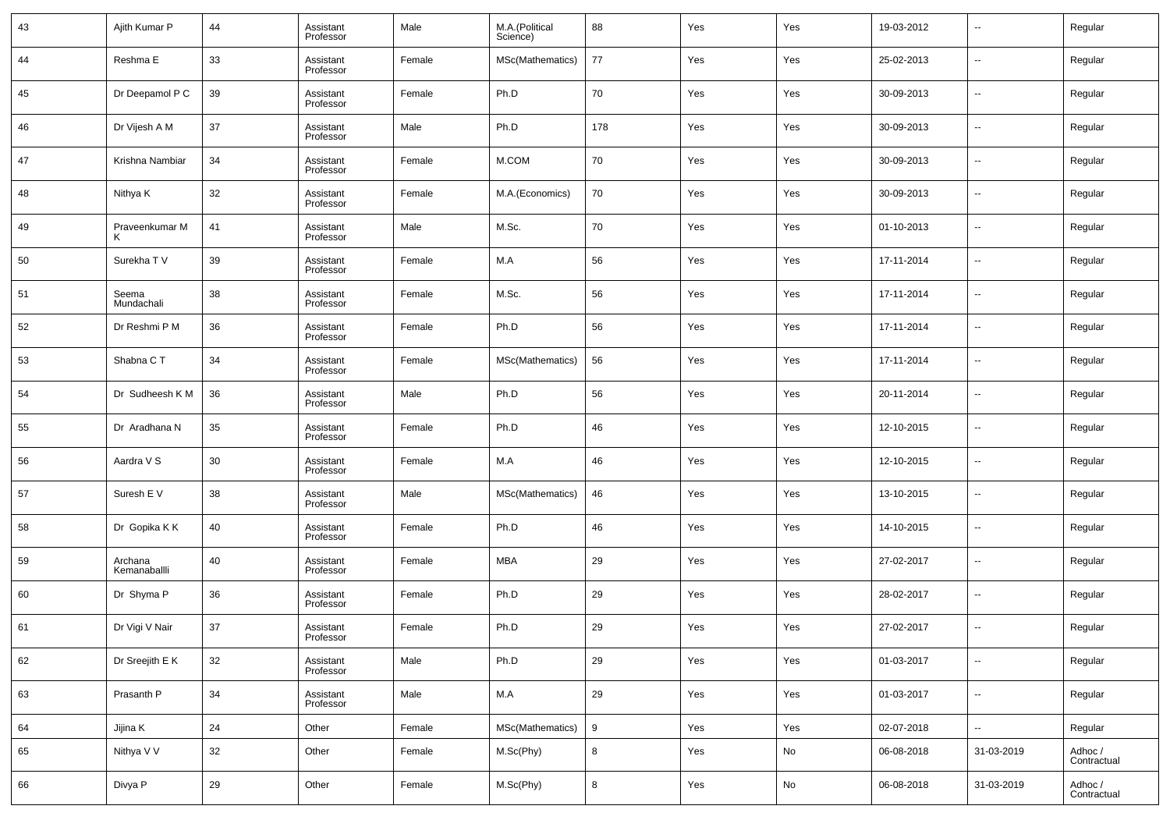| 43 | Ajith Kumar P           | 44 | Assistant<br>Professor | Male   | M.A.(Political<br>Science) | 88  | Yes | Yes | 19-03-2012 | --                       | Regular                |
|----|-------------------------|----|------------------------|--------|----------------------------|-----|-----|-----|------------|--------------------------|------------------------|
| 44 | Reshma E                | 33 | Assistant<br>Professor | Female | MSc(Mathematics)           | 77  | Yes | Yes | 25-02-2013 | --                       | Regular                |
| 45 | Dr Deepamol P C         | 39 | Assistant<br>Professor | Female | Ph.D                       | 70  | Yes | Yes | 30-09-2013 | --                       | Regular                |
| 46 | Dr Vijesh A M           | 37 | Assistant<br>Professor | Male   | Ph.D                       | 178 | Yes | Yes | 30-09-2013 | --                       | Regular                |
| 47 | Krishna Nambiar         | 34 | Assistant<br>Professor | Female | M.COM                      | 70  | Yes | Yes | 30-09-2013 | --                       | Regular                |
| 48 | Nithya K                | 32 | Assistant<br>Professor | Female | M.A.(Economics)            | 70  | Yes | Yes | 30-09-2013 | --                       | Regular                |
| 49 | Praveenkumar M          | 41 | Assistant<br>Professor | Male   | M.Sc.                      | 70  | Yes | Yes | 01-10-2013 | --                       | Regular                |
| 50 | Surekha T V             | 39 | Assistant<br>Professor | Female | M.A                        | 56  | Yes | Yes | 17-11-2014 | --                       | Regular                |
| 51 | Seema<br>Mundachali     | 38 | Assistant<br>Professor | Female | M.Sc.                      | 56  | Yes | Yes | 17-11-2014 | --                       | Regular                |
| 52 | Dr Reshmi P M           | 36 | Assistant<br>Professor | Female | Ph.D                       | 56  | Yes | Yes | 17-11-2014 | --                       | Regular                |
| 53 | Shabna CT               | 34 | Assistant<br>Professor | Female | MSc(Mathematics)           | 56  | Yes | Yes | 17-11-2014 | --                       | Regular                |
| 54 | Dr Sudheesh K M         | 36 | Assistant<br>Professor | Male   | Ph.D                       | 56  | Yes | Yes | 20-11-2014 | --                       | Regular                |
| 55 | Dr Aradhana N           | 35 | Assistant<br>Professor | Female | Ph.D                       | 46  | Yes | Yes | 12-10-2015 | --                       | Regular                |
| 56 | Aardra V S              | 30 | Assistant<br>Professor | Female | M.A                        | 46  | Yes | Yes | 12-10-2015 | --                       | Regular                |
| 57 | Suresh E V              | 38 | Assistant<br>Professor | Male   | MSc(Mathematics)           | 46  | Yes | Yes | 13-10-2015 | --                       | Regular                |
| 58 | Dr Gopika K K           | 40 | Assistant<br>Professor | Female | Ph.D                       | 46  | Yes | Yes | 14-10-2015 | --                       | Regular                |
| 59 | Archana<br>Kemanaballli | 40 | Assistant<br>Professor | Female | MBA                        | 29  | Yes | Yes | 27-02-2017 | --                       | Regular                |
| 60 | Dr Shyma P              | 36 | Assistant<br>Professor | Female | Ph.D                       | 29  | Yes | Yes | 28-02-2017 | --                       | Regular                |
| 61 | Dr Vigi V Nair          | 37 | Assistant<br>Professor | Female | Ph.D                       | 29  | Yes | Yes | 27-02-2017 | --                       | Regular                |
| 62 | Dr Sreejith E K         | 32 | Assistant<br>Professor | Male   | Ph.D                       | 29  | Yes | Yes | 01-03-2017 | $\sim$                   | Regular                |
| 63 | Prasanth P              | 34 | Assistant<br>Professor | Male   | M.A                        | 29  | Yes | Yes | 01-03-2017 | $\overline{\phantom{a}}$ | Regular                |
| 64 | Jijina K                | 24 | Other                  | Female | MSc(Mathematics)           | 9   | Yes | Yes | 02-07-2018 | $\overline{\phantom{a}}$ | Regular                |
| 65 | Nithya V V              | 32 | Other                  | Female | M.Sc(Phy)                  | 8   | Yes | No  | 06-08-2018 | 31-03-2019               | Adhoc /<br>Contractual |
| 66 | Divya P                 | 29 | Other                  | Female | M.Sc(Phy)                  | 8   | Yes | No  | 06-08-2018 | 31-03-2019               | Adhoc /<br>Contractual |